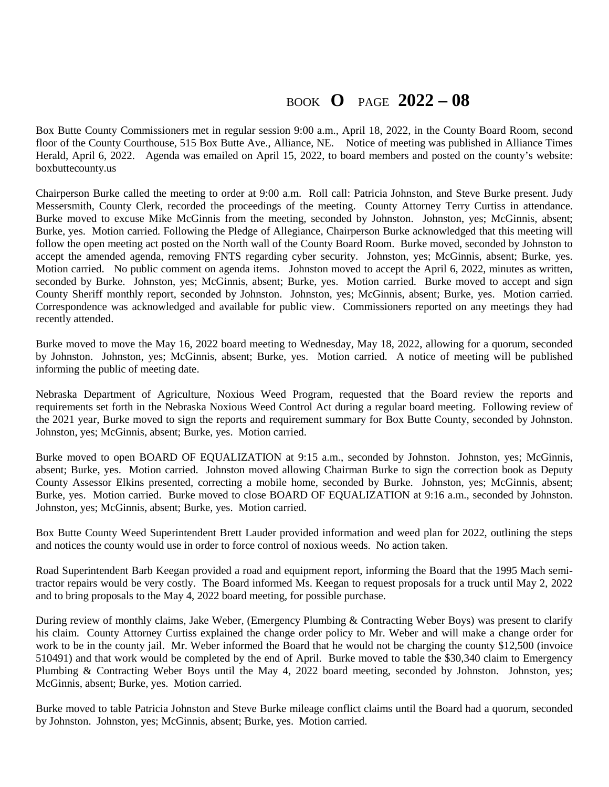## BOOK **O** PAGE **2022 – 08**

Box Butte County Commissioners met in regular session 9:00 a.m., April 18, 2022, in the County Board Room, second floor of the County Courthouse, 515 Box Butte Ave., Alliance, NE. Notice of meeting was published in Alliance Times Herald, April 6, 2022. Agenda was emailed on April 15, 2022, to board members and posted on the county's website: boxbuttecounty.us

Chairperson Burke called the meeting to order at 9:00 a.m. Roll call: Patricia Johnston, and Steve Burke present. Judy Messersmith, County Clerk, recorded the proceedings of the meeting. County Attorney Terry Curtiss in attendance. Burke moved to excuse Mike McGinnis from the meeting, seconded by Johnston. Johnston, yes; McGinnis, absent; Burke, yes. Motion carried. Following the Pledge of Allegiance, Chairperson Burke acknowledged that this meeting will follow the open meeting act posted on the North wall of the County Board Room. Burke moved, seconded by Johnston to accept the amended agenda, removing FNTS regarding cyber security. Johnston, yes; McGinnis, absent; Burke, yes. Motion carried. No public comment on agenda items. Johnston moved to accept the April 6, 2022, minutes as written, seconded by Burke. Johnston, yes; McGinnis, absent; Burke, yes. Motion carried. Burke moved to accept and sign County Sheriff monthly report, seconded by Johnston. Johnston, yes; McGinnis, absent; Burke, yes. Motion carried. Correspondence was acknowledged and available for public view. Commissioners reported on any meetings they had recently attended.

Burke moved to move the May 16, 2022 board meeting to Wednesday, May 18, 2022, allowing for a quorum, seconded by Johnston. Johnston, yes; McGinnis, absent; Burke, yes. Motion carried. A notice of meeting will be published informing the public of meeting date.

Nebraska Department of Agriculture, Noxious Weed Program, requested that the Board review the reports and requirements set forth in the Nebraska Noxious Weed Control Act during a regular board meeting. Following review of the 2021 year, Burke moved to sign the reports and requirement summary for Box Butte County, seconded by Johnston. Johnston, yes; McGinnis, absent; Burke, yes. Motion carried.

Burke moved to open BOARD OF EQUALIZATION at 9:15 a.m., seconded by Johnston. Johnston, yes; McGinnis, absent; Burke, yes. Motion carried. Johnston moved allowing Chairman Burke to sign the correction book as Deputy County Assessor Elkins presented, correcting a mobile home, seconded by Burke. Johnston, yes; McGinnis, absent; Burke, yes. Motion carried. Burke moved to close BOARD OF EQUALIZATION at 9:16 a.m., seconded by Johnston. Johnston, yes; McGinnis, absent; Burke, yes. Motion carried.

Box Butte County Weed Superintendent Brett Lauder provided information and weed plan for 2022, outlining the steps and notices the county would use in order to force control of noxious weeds. No action taken.

Road Superintendent Barb Keegan provided a road and equipment report, informing the Board that the 1995 Mach semitractor repairs would be very costly. The Board informed Ms. Keegan to request proposals for a truck until May 2, 2022 and to bring proposals to the May 4, 2022 board meeting, for possible purchase.

During review of monthly claims, Jake Weber, (Emergency Plumbing & Contracting Weber Boys) was present to clarify his claim. County Attorney Curtiss explained the change order policy to Mr. Weber and will make a change order for work to be in the county jail. Mr. Weber informed the Board that he would not be charging the county \$12,500 (invoice 510491) and that work would be completed by the end of April. Burke moved to table the \$30,340 claim to Emergency Plumbing & Contracting Weber Boys until the May 4, 2022 board meeting, seconded by Johnston. Johnston, yes; McGinnis, absent; Burke, yes. Motion carried.

Burke moved to table Patricia Johnston and Steve Burke mileage conflict claims until the Board had a quorum, seconded by Johnston. Johnston, yes; McGinnis, absent; Burke, yes. Motion carried.